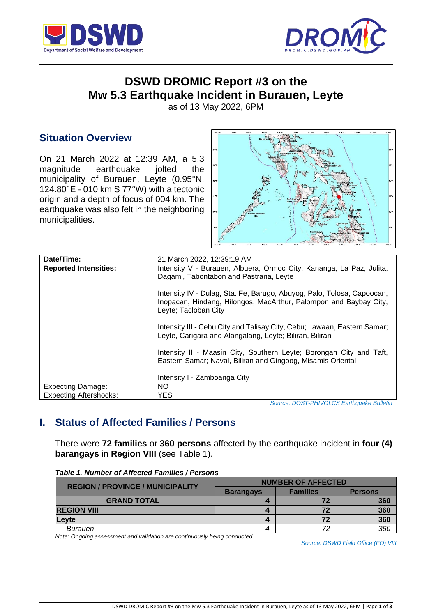



# **DSWD DROMIC Report #3 on the Mw 5.3 Earthquake Incident in Burauen, Leyte**

as of 13 May 2022, 6PM

## **Situation Overview**

On 21 March 2022 at 12:39 AM, a 5.3 magnitude earthquake jolted the municipality of Burauen, Leyte (0.95°N, 124.80°E - 010 km S 77°W) with a tectonic origin and a depth of focus of 004 km. The earthquake was also felt in the neighboring municipalities.



| Date/Time:                    | 21 March 2022, 12:39:19 AM                                               |  |  |  |
|-------------------------------|--------------------------------------------------------------------------|--|--|--|
| <b>Reported Intensities:</b>  | Intensity V - Burauen, Albuera, Ormoc City, Kananga, La Paz, Julita,     |  |  |  |
|                               | Dagami, Tabontabon and Pastrana, Leyte                                   |  |  |  |
|                               |                                                                          |  |  |  |
|                               | Intensity IV - Dulag, Sta. Fe, Barugo, Abuyog, Palo, Tolosa, Capoocan,   |  |  |  |
|                               | Inopacan, Hindang, Hilongos, MacArthur, Palompon and Baybay City,        |  |  |  |
|                               | Leyte; Tacloban City                                                     |  |  |  |
|                               |                                                                          |  |  |  |
|                               | Intensity III - Cebu City and Talisay City, Cebu; Lawaan, Eastern Samar; |  |  |  |
|                               | Leyte, Carigara and Alangalang, Leyte; Biliran, Biliran                  |  |  |  |
|                               |                                                                          |  |  |  |
|                               | Intensity II - Maasin City, Southern Leyte; Borongan City and Taft,      |  |  |  |
|                               | Eastern Samar; Naval, Biliran and Gingoog, Misamis Oriental              |  |  |  |
|                               |                                                                          |  |  |  |
|                               | Intensity I - Zamboanga City                                             |  |  |  |
| Expecting Damage:             | NO.                                                                      |  |  |  |
| <b>Expecting Aftershocks:</b> | <b>YES</b>                                                               |  |  |  |

*Source: [DOST-PHIVOLCS](http://www1.pagasa.dost.gov.ph/index.php/tropical-cyclones/weather-bulletins) Earthquake Bulletin*

## **I. Status of Affected Families / Persons**

There were **72 families** or **360 persons** affected by the earthquake incident in **four (4) barangays** in **Region VIII** (see Table 1).

|                                         | <b>NUMBER OF AFFECTED</b> |                 |                |  |
|-----------------------------------------|---------------------------|-----------------|----------------|--|
| <b>REGION / PROVINCE / MUNICIPALITY</b> | <b>Barangays</b>          | <b>Families</b> | <b>Persons</b> |  |
| <b>GRAND TOTAL</b>                      |                           | 72              | 360            |  |
| <b>REGION VIII</b>                      |                           | 72              | 360            |  |
| <b>Levte</b>                            |                           | 72              | 360            |  |
| Burauen                                 |                           | 72              | 360            |  |

*Table 1. Number of Affected Families / Persons*

*Note: Ongoing assessment and validation are continuously being conducted.*

*Source: DSWD Field Office (FO) VIII*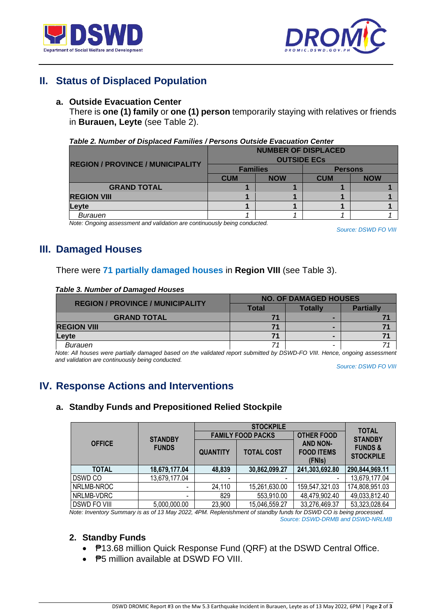



## **II. Status of Displaced Population**

### **a. Outside Evacuation Center**

There is **one (1) family** or **one (1) person** temporarily staying with relatives or friends in **Burauen, Leyte** (see Table 2).

#### *Table 2. Number of Displaced Families / Persons Outside Evacuation Center*

|                                         | <b>NUMBER OF DISPLACED</b> |            |                |            |  |
|-----------------------------------------|----------------------------|------------|----------------|------------|--|
|                                         | <b>OUTSIDE ECS</b>         |            |                |            |  |
| <b>REGION / PROVINCE / MUNICIPALITY</b> | <b>Families</b>            |            | <b>Persons</b> |            |  |
|                                         | <b>CUM</b>                 | <b>NOW</b> | <b>CUM</b>     | <b>NOW</b> |  |
| <b>GRAND TOTAL</b>                      |                            |            |                |            |  |
| <b>REGION VIII</b>                      |                            |            |                |            |  |
| Levte                                   |                            |            |                |            |  |
| Burauen                                 |                            |            |                |            |  |

*Note: Ongoing assessment and validation are continuously being conducted.*

*Source: DSWD FO VIII*

## **III. Damaged Houses**

### There were **71 partially damaged houses** in **Region VIII** (see Table 3).

#### *Table 3. Number of Damaged Houses*

| <b>REGION / PROVINCE / MUNICIPALITY</b> | <b>NO. OF DAMAGED HOUSES</b> |         |                  |
|-----------------------------------------|------------------------------|---------|------------------|
|                                         | Total                        | Totallv | <b>Partially</b> |
| <b>GRAND TOTAL</b>                      | 71                           |         |                  |
| <b>REGION VIII</b>                      | 71                           |         |                  |
| Levte                                   | 71                           |         |                  |
| Burauen                                 | 71                           |         |                  |

*Note: All houses were partially damaged based on the validated report submitted by DSWD-FO VIII. Hence, ongoing assessment and validation are continuously being conducted.*

*Source: DSWD FO VIII*

## **IV. Response Actions and Interventions**

## **a. Standby Funds and Prepositioned Relied Stockpile**

|                     |                                |                          | <b>TOTAL</b>             |                                                                     |                                                          |
|---------------------|--------------------------------|--------------------------|--------------------------|---------------------------------------------------------------------|----------------------------------------------------------|
| <b>OFFICE</b>       | <b>STANDBY</b><br><b>FUNDS</b> |                          | <b>FAMILY FOOD PACKS</b> | <b>OTHER FOOD</b><br><b>AND NON-</b><br><b>FOOD ITEMS</b><br>(FNIs) | <b>STANDBY</b><br><b>FUNDS &amp;</b><br><b>STOCKPILE</b> |
|                     |                                | <b>QUANTITY</b>          | <b>TOTAL COST</b>        |                                                                     |                                                          |
| <b>TOTAL</b>        | 18,679,177.04                  | 48,839                   | 30,862,099.27            | 241,303,692.80                                                      | 290,844,969.11                                           |
| <b>DSWD CO</b>      | 13,679,177.04                  | $\overline{\phantom{a}}$ |                          |                                                                     | 13,679,177.04                                            |
| NRLMB-NROC          |                                | 24,110                   | 15,261,630.00            | 159,547,321.03                                                      | 174,808,951.03                                           |
| NRLMB-VDRC          |                                | 829                      | 553,910.00               | 48,479,902.40                                                       | 49,033,812.40                                            |
| <b>DSWD FO VIII</b> | 5,000,000.00                   | 23,900                   | 15,046,559.27            | 33,276,469.37                                                       | 53,323,028.64                                            |

*Note: Inventory Summary is as of 13 May 2022, 4PM. Replenishment of standby funds for DSWD CO is being processed. Source: DSWD-DRMB and DSWD-NRLMB*

## **2. Standby Funds**

- **P13.68 million Quick Response Fund (QRF) at the DSWD Central Office.**
- **P5 million available at DSWD FO VIII.**